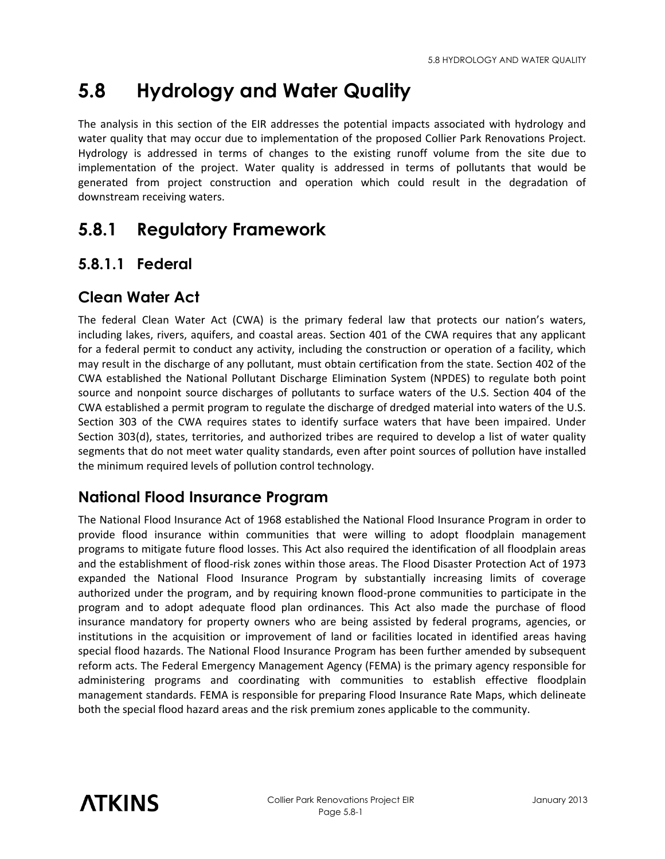# **5.8 Hydrology and Water Quality**

The analysis in this section of the EIR addresses the potential impacts associated with hydrology and water quality that may occur due to implementation of the proposed Collier Park Renovations Project. Hydrology is addressed in terms of changes to the existing runoff volume from the site due to implementation of the project. Water quality is addressed in terms of pollutants that would be generated from project construction and operation which could result in the degradation of downstream receiving waters.

# **5.8.1 Regulatory Framework**

## **5.8.1.1 Federal**

## **Clean Water Act**

The federal Clean Water Act (CWA) is the primary federal law that protects our nation's waters, including lakes, rivers, aquifers, and coastal areas. Section 401 of the CWA requires that any applicant for a federal permit to conduct any activity, including the construction or operation of a facility, which may result in the discharge of any pollutant, must obtain certification from the state. Section 402 of the CWA established the National Pollutant Discharge Elimination System (NPDES) to regulate both point source and nonpoint source discharges of pollutants to surface waters of the U.S. Section 404 of the CWA established a permit program to regulate the discharge of dredged material into waters of the U.S. Section 303 of the CWA requires states to identify surface waters that have been impaired. Under Section 303(d), states, territories, and authorized tribes are required to develop a list of water quality segments that do not meet water quality standards, even after point sources of pollution have installed the minimum required levels of pollution control technology.

## **National Flood Insurance Program**

The National Flood Insurance Act of 1968 established the National Flood Insurance Program in order to provide flood insurance within communities that were willing to adopt floodplain management programs to mitigate future flood losses. This Act also required the identification of all floodplain areas and the establishment of flood-risk zones within those areas. The Flood Disaster Protection Act of 1973 expanded the National Flood Insurance Program by substantially increasing limits of coverage authorized under the program, and by requiring known flood-prone communities to participate in the program and to adopt adequate flood plan ordinances. This Act also made the purchase of flood insurance mandatory for property owners who are being assisted by federal programs, agencies, or institutions in the acquisition or improvement of land or facilities located in identified areas having special flood hazards. The National Flood Insurance Program has been further amended by subsequent reform acts. The Federal Emergency Management Agency (FEMA) is the primary agency responsible for administering programs and coordinating with communities to establish effective floodplain management standards. FEMA is responsible for preparing Flood Insurance Rate Maps, which delineate both the special flood hazard areas and the risk premium zones applicable to the community.

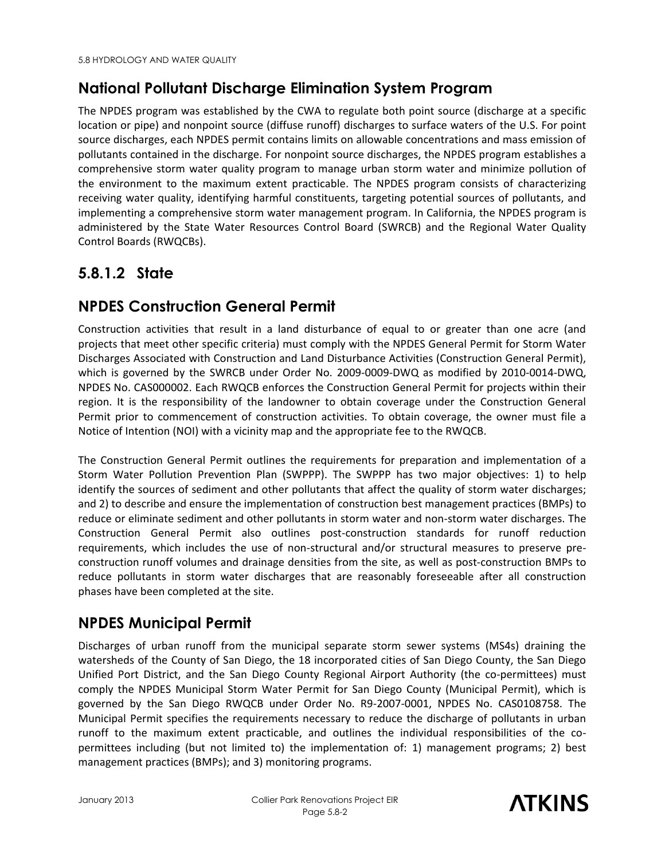## **National Pollutant Discharge Elimination System Program**

The NPDES program was established by the CWA to regulate both point source (discharge at a specific location or pipe) and nonpoint source (diffuse runoff) discharges to surface waters of the U.S. For point source discharges, each NPDES permit contains limits on allowable concentrations and mass emission of pollutants contained in the discharge. For nonpoint source discharges, the NPDES program establishes a comprehensive storm water quality program to manage urban storm water and minimize pollution of the environment to the maximum extent practicable. The NPDES program consists of characterizing receiving water quality, identifying harmful constituents, targeting potential sources of pollutants, and implementing a comprehensive storm water management program. In California, the NPDES program is administered by the State Water Resources Control Board (SWRCB) and the Regional Water Quality Control Boards (RWQCBs).

## **5.8.1.2 State**

## **NPDES Construction General Permit**

Construction activities that result in a land disturbance of equal to or greater than one acre (and projects that meet other specific criteria) must comply with the NPDES General Permit for Storm Water Discharges Associated with Construction and Land Disturbance Activities (Construction General Permit), which is governed by the SWRCB under Order No. 2009-0009-DWQ as modified by 2010-0014-DWQ, NPDES No. CAS000002. Each RWQCB enforces the Construction General Permit for projects within their region. It is the responsibility of the landowner to obtain coverage under the Construction General Permit prior to commencement of construction activities. To obtain coverage, the owner must file a Notice of Intention (NOI) with a vicinity map and the appropriate fee to the RWQCB.

The Construction General Permit outlines the requirements for preparation and implementation of a Storm Water Pollution Prevention Plan (SWPPP). The SWPPP has two major objectives: 1) to help identify the sources of sediment and other pollutants that affect the quality of storm water discharges; and 2) to describe and ensure the implementation of construction best management practices (BMPs) to reduce or eliminate sediment and other pollutants in storm water and non-storm water discharges. The Construction General Permit also outlines post-construction standards for runoff reduction requirements, which includes the use of non-structural and/or structural measures to preserve preconstruction runoff volumes and drainage densities from the site, as well as post-construction BMPs to reduce pollutants in storm water discharges that are reasonably foreseeable after all construction phases have been completed at the site.

## **NPDES Municipal Permit**

Discharges of urban runoff from the municipal separate storm sewer systems (MS4s) draining the watersheds of the County of San Diego, the 18 incorporated cities of San Diego County, the San Diego Unified Port District, and the San Diego County Regional Airport Authority (the co-permittees) must comply the NPDES Municipal Storm Water Permit for San Diego County (Municipal Permit), which is governed by the San Diego RWQCB under Order No. R9-2007-0001, NPDES No. CAS0108758. The Municipal Permit specifies the requirements necessary to reduce the discharge of pollutants in urban runoff to the maximum extent practicable, and outlines the individual responsibilities of the copermittees including (but not limited to) the implementation of: 1) management programs; 2) best management practices (BMPs); and 3) monitoring programs.

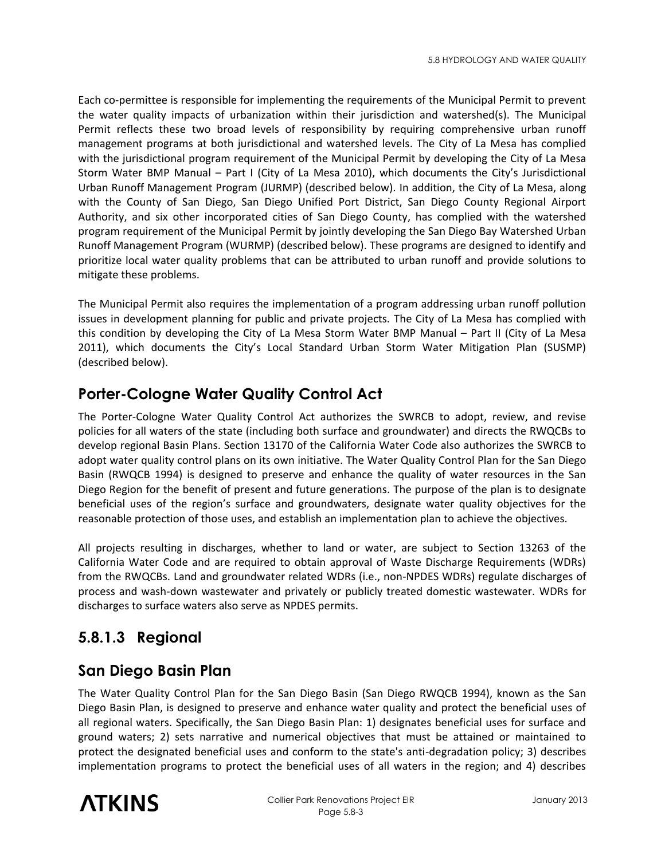Each co-permittee is responsible for implementing the requirements of the Municipal Permit to prevent the water quality impacts of urbanization within their jurisdiction and watershed(s). The Municipal Permit reflects these two broad levels of responsibility by requiring comprehensive urban runoff management programs at both jurisdictional and watershed levels. The City of La Mesa has complied with the jurisdictional program requirement of the Municipal Permit by developing the City of La Mesa Storm Water BMP Manual – Part I (City of La Mesa 2010), which documents the City's Jurisdictional Urban Runoff Management Program (JURMP) (described below). In addition, the City of La Mesa, along with the County of San Diego, San Diego Unified Port District, San Diego County Regional Airport Authority, and six other incorporated cities of San Diego County, has complied with the watershed program requirement of the Municipal Permit by jointly developing the San Diego Bay Watershed Urban Runoff Management Program (WURMP) (described below). These programs are designed to identify and prioritize local water quality problems that can be attributed to urban runoff and provide solutions to mitigate these problems.

The Municipal Permit also requires the implementation of a program addressing urban runoff pollution issues in development planning for public and private projects. The City of La Mesa has complied with this condition by developing the City of La Mesa Storm Water BMP Manual – Part II (City of La Mesa 2011), which documents the City's Local Standard Urban Storm Water Mitigation Plan (SUSMP) (described below).

## **Porter-Cologne Water Quality Control Act**

The Porter-Cologne Water Quality Control Act authorizes the SWRCB to adopt, review, and revise policies for all waters of the state (including both surface and groundwater) and directs the RWQCBs to develop regional Basin Plans. Section 13170 of the California Water Code also authorizes the SWRCB to adopt water quality control plans on its own initiative. The Water Quality Control Plan for the San Diego Basin (RWQCB 1994) is designed to preserve and enhance the quality of water resources in the San Diego Region for the benefit of present and future generations. The purpose of the plan is to designate beneficial uses of the region's surface and groundwaters, designate water quality objectives for the reasonable protection of those uses, and establish an implementation plan to achieve the objectives.

All projects resulting in discharges, whether to land or water, are subject to Section 13263 of the California Water Code and are required to obtain approval of Waste Discharge Requirements (WDRs) from the RWQCBs. Land and groundwater related WDRs (i.e., non-NPDES WDRs) regulate discharges of process and wash-down wastewater and privately or publicly treated domestic wastewater. WDRs for discharges to surface waters also serve as NPDES permits.

# **5.8.1.3 Regional**

#### **San Diego Basin Plan**

The Water Quality Control Plan for the San Diego Basin (San Diego RWQCB 1994), known as the San Diego Basin Plan, is designed to preserve and enhance water quality and protect the beneficial uses of all regional waters. Specifically, the San Diego Basin Plan: 1) designates beneficial uses for surface and ground waters; 2) sets narrative and numerical objectives that must be attained or maintained to protect the designated beneficial uses and conform to the state's anti-degradation policy; 3) describes implementation programs to protect the beneficial uses of all waters in the region; and 4) describes

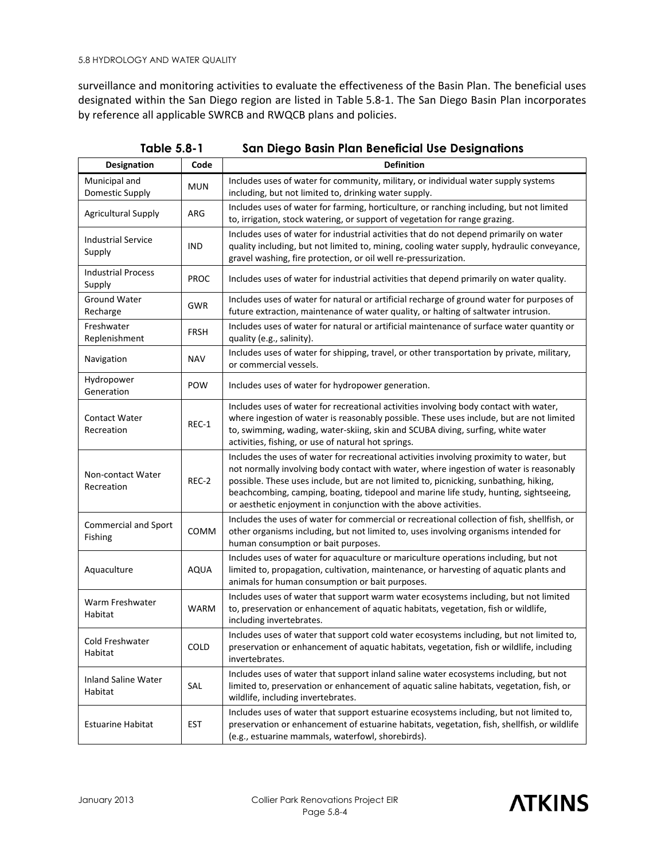surveillance and monitoring activities to evaluate the effectiveness of the Basin Plan. The beneficial uses designated within the San Diego region are listed in Table 5.8-1. The San Diego Basin Plan incorporates by reference all applicable SWRCB and RWQCB plans and policies.

| <b>Designation</b>                     | Code        | <b>Definition</b>                                                                                                                                                                                                                                                                                                                                                                                                                        |  |  |  |  |  |  |  |
|----------------------------------------|-------------|------------------------------------------------------------------------------------------------------------------------------------------------------------------------------------------------------------------------------------------------------------------------------------------------------------------------------------------------------------------------------------------------------------------------------------------|--|--|--|--|--|--|--|
| Municipal and<br>Domestic Supply       | <b>MUN</b>  | Includes uses of water for community, military, or individual water supply systems<br>including, but not limited to, drinking water supply.                                                                                                                                                                                                                                                                                              |  |  |  |  |  |  |  |
| <b>Agricultural Supply</b>             | ARG         | Includes uses of water for farming, horticulture, or ranching including, but not limited<br>to, irrigation, stock watering, or support of vegetation for range grazing.                                                                                                                                                                                                                                                                  |  |  |  |  |  |  |  |
| <b>Industrial Service</b><br>Supply    | IND         | Includes uses of water for industrial activities that do not depend primarily on water<br>quality including, but not limited to, mining, cooling water supply, hydraulic conveyance,<br>gravel washing, fire protection, or oil well re-pressurization.                                                                                                                                                                                  |  |  |  |  |  |  |  |
| <b>Industrial Process</b><br>Supply    | <b>PROC</b> | Includes uses of water for industrial activities that depend primarily on water quality.                                                                                                                                                                                                                                                                                                                                                 |  |  |  |  |  |  |  |
| <b>Ground Water</b><br>Recharge        | <b>GWR</b>  | Includes uses of water for natural or artificial recharge of ground water for purposes of<br>future extraction, maintenance of water quality, or halting of saltwater intrusion.                                                                                                                                                                                                                                                         |  |  |  |  |  |  |  |
| Freshwater<br>Replenishment            | <b>FRSH</b> | Includes uses of water for natural or artificial maintenance of surface water quantity or<br>quality (e.g., salinity).                                                                                                                                                                                                                                                                                                                   |  |  |  |  |  |  |  |
| Navigation                             | <b>NAV</b>  | Includes uses of water for shipping, travel, or other transportation by private, military,<br>or commercial vessels.                                                                                                                                                                                                                                                                                                                     |  |  |  |  |  |  |  |
| Hydropower<br>Generation               | POW         | Includes uses of water for hydropower generation.                                                                                                                                                                                                                                                                                                                                                                                        |  |  |  |  |  |  |  |
| <b>Contact Water</b><br>Recreation     | REC-1       | Includes uses of water for recreational activities involving body contact with water,<br>where ingestion of water is reasonably possible. These uses include, but are not limited<br>to, swimming, wading, water-skiing, skin and SCUBA diving, surfing, white water<br>activities, fishing, or use of natural hot springs.                                                                                                              |  |  |  |  |  |  |  |
| Non-contact Water<br>Recreation        | REC-2       | Includes the uses of water for recreational activities involving proximity to water, but<br>not normally involving body contact with water, where ingestion of water is reasonably<br>possible. These uses include, but are not limited to, picnicking, sunbathing, hiking,<br>beachcombing, camping, boating, tidepool and marine life study, hunting, sightseeing,<br>or aesthetic enjoyment in conjunction with the above activities. |  |  |  |  |  |  |  |
| <b>Commercial and Sport</b><br>Fishing | <b>COMM</b> | Includes the uses of water for commercial or recreational collection of fish, shellfish, or<br>other organisms including, but not limited to, uses involving organisms intended for<br>human consumption or bait purposes.                                                                                                                                                                                                               |  |  |  |  |  |  |  |
| Aquaculture                            | <b>AQUA</b> | Includes uses of water for aquaculture or mariculture operations including, but not<br>limited to, propagation, cultivation, maintenance, or harvesting of aquatic plants and<br>animals for human consumption or bait purposes.                                                                                                                                                                                                         |  |  |  |  |  |  |  |
| Warm Freshwater<br>Habitat             | <b>WARM</b> | Includes uses of water that support warm water ecosystems including, but not limited<br>to, preservation or enhancement of aquatic habitats, vegetation, fish or wildlife,<br>including invertebrates.                                                                                                                                                                                                                                   |  |  |  |  |  |  |  |
| Cold Freshwater<br>Habitat             | <b>COLD</b> | Includes uses of water that support cold water ecosystems including, but not limited to,<br>preservation or enhancement of aquatic habitats, vegetation, fish or wildlife, including<br>invertebrates.                                                                                                                                                                                                                                   |  |  |  |  |  |  |  |
| Inland Saline Water<br>Habitat         | SAL         | Includes uses of water that support inland saline water ecosystems including, but not<br>limited to, preservation or enhancement of aquatic saline habitats, vegetation, fish, or<br>wildlife, including invertebrates.                                                                                                                                                                                                                  |  |  |  |  |  |  |  |
| <b>Estuarine Habitat</b>               | <b>EST</b>  | Includes uses of water that support estuarine ecosystems including, but not limited to,<br>preservation or enhancement of estuarine habitats, vegetation, fish, shellfish, or wildlife<br>(e.g., estuarine mammals, waterfowl, shorebirds).                                                                                                                                                                                              |  |  |  |  |  |  |  |

**Table 5.8-1 San Diego Basin Plan Beneficial Use Designations** 

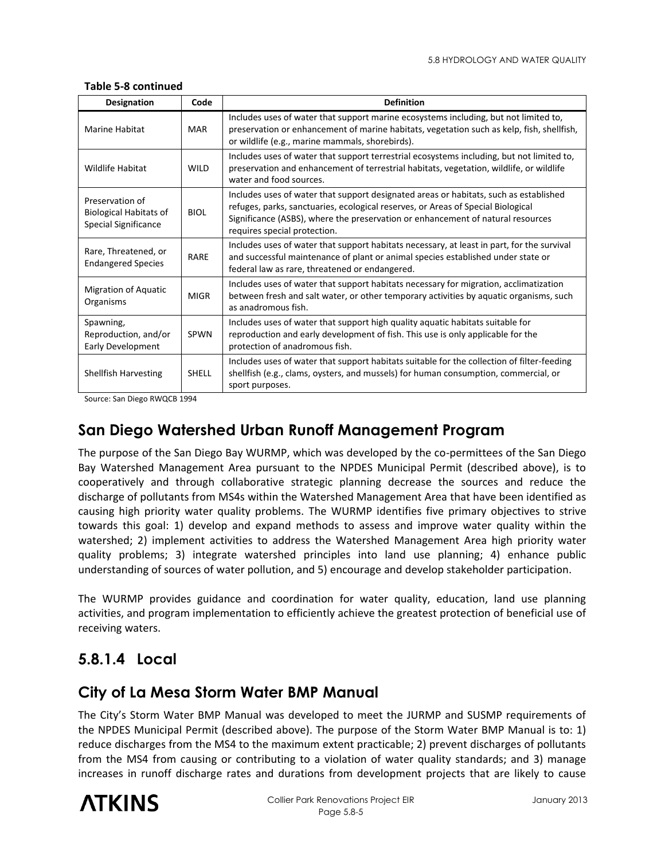| <b>Designation</b>                                                              | Code         | <b>Definition</b>                                                                                                                                                                                                                                                                            |  |  |  |  |  |  |  |  |  |
|---------------------------------------------------------------------------------|--------------|----------------------------------------------------------------------------------------------------------------------------------------------------------------------------------------------------------------------------------------------------------------------------------------------|--|--|--|--|--|--|--|--|--|
| Marine Habitat                                                                  | <b>MAR</b>   | Includes uses of water that support marine ecosystems including, but not limited to,<br>preservation or enhancement of marine habitats, vegetation such as kelp, fish, shellfish,<br>or wildlife (e.g., marine mammals, shorebirds).                                                         |  |  |  |  |  |  |  |  |  |
| Wildlife Habitat                                                                | <b>WILD</b>  | Includes uses of water that support terrestrial ecosystems including, but not limited to,<br>preservation and enhancement of terrestrial habitats, vegetation, wildlife, or wildlife<br>water and food sources.                                                                              |  |  |  |  |  |  |  |  |  |
| Preservation of<br><b>Biological Habitats of</b><br><b>Special Significance</b> | <b>BIOL</b>  | Includes uses of water that support designated areas or habitats, such as established<br>refuges, parks, sanctuaries, ecological reserves, or Areas of Special Biological<br>Significance (ASBS), where the preservation or enhancement of natural resources<br>requires special protection. |  |  |  |  |  |  |  |  |  |
| Rare, Threatened, or<br><b>Endangered Species</b>                               | RARE         | Includes uses of water that support habitats necessary, at least in part, for the survival<br>and successful maintenance of plant or animal species established under state or<br>federal law as rare, threatened or endangered.                                                             |  |  |  |  |  |  |  |  |  |
| <b>Migration of Aquatic</b><br>Organisms                                        | <b>MIGR</b>  | Includes uses of water that support habitats necessary for migration, acclimatization<br>between fresh and salt water, or other temporary activities by aquatic organisms, such<br>as anadromous fish.                                                                                       |  |  |  |  |  |  |  |  |  |
| Spawning,<br>Reproduction, and/or<br><b>Early Development</b>                   | <b>SPWN</b>  | Includes uses of water that support high quality aquatic habitats suitable for<br>reproduction and early development of fish. This use is only applicable for the<br>protection of anadromous fish.                                                                                          |  |  |  |  |  |  |  |  |  |
| Shellfish Harvesting                                                            | <b>SHELL</b> | Includes uses of water that support habitats suitable for the collection of filter-feeding<br>shellfish (e.g., clams, oysters, and mussels) for human consumption, commercial, or<br>sport purposes.                                                                                         |  |  |  |  |  |  |  |  |  |

#### **Table 5-8 continued**

Source: San Diego RWQCB 1994

#### **San Diego Watershed Urban Runoff Management Program**

The purpose of the San Diego Bay WURMP, which was developed by the co-permittees of the San Diego Bay Watershed Management Area pursuant to the NPDES Municipal Permit (described above), is to cooperatively and through collaborative strategic planning decrease the sources and reduce the discharge of pollutants from MS4s within the Watershed Management Area that have been identified as causing high priority water quality problems. The WURMP identifies five primary objectives to strive towards this goal: 1) develop and expand methods to assess and improve water quality within the watershed; 2) implement activities to address the Watershed Management Area high priority water quality problems; 3) integrate watershed principles into land use planning; 4) enhance public understanding of sources of water pollution, and 5) encourage and develop stakeholder participation.

The WURMP provides guidance and coordination for water quality, education, land use planning activities, and program implementation to efficiently achieve the greatest protection of beneficial use of receiving waters.

## **5.8.1.4 Local**

#### **City of La Mesa Storm Water BMP Manual**

The City's Storm Water BMP Manual was developed to meet the JURMP and SUSMP requirements of the NPDES Municipal Permit (described above). The purpose of the Storm Water BMP Manual is to: 1) reduce discharges from the MS4 to the maximum extent practicable; 2) prevent discharges of pollutants from the MS4 from causing or contributing to a violation of water quality standards; and 3) manage increases in runoff discharge rates and durations from development projects that are likely to cause

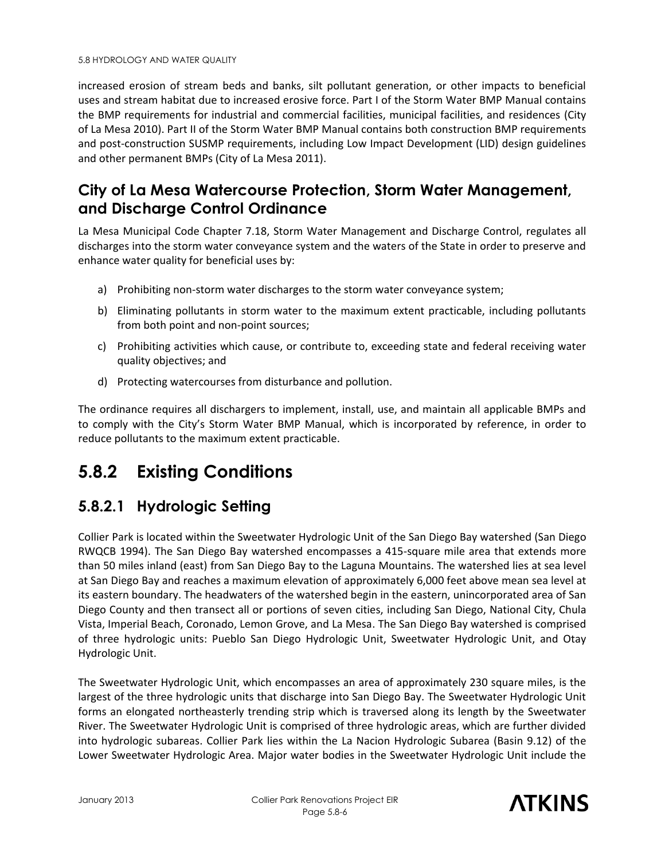increased erosion of stream beds and banks, silt pollutant generation, or other impacts to beneficial uses and stream habitat due to increased erosive force. Part I of the Storm Water BMP Manual contains the BMP requirements for industrial and commercial facilities, municipal facilities, and residences (City of La Mesa 2010). Part II of the Storm Water BMP Manual contains both construction BMP requirements and post-construction SUSMP requirements, including Low Impact Development (LID) design guidelines and other permanent BMPs (City of La Mesa 2011).

#### **City of La Mesa Watercourse Protection, Storm Water Management, and Discharge Control Ordinance**

La Mesa Municipal Code Chapter 7.18, Storm Water Management and Discharge Control, regulates all discharges into the storm water conveyance system and the waters of the State in order to preserve and enhance water quality for beneficial uses by:

- a) Prohibiting non-storm water discharges to the storm water conveyance system;
- b) Eliminating pollutants in storm water to the maximum extent practicable, including pollutants from both point and non-point sources;
- c) Prohibiting activities which cause, or contribute to, exceeding state and federal receiving water quality objectives; and
- d) Protecting watercourses from disturbance and pollution.

The ordinance requires all dischargers to implement, install, use, and maintain all applicable BMPs and to comply with the City's Storm Water BMP Manual, which is incorporated by reference, in order to reduce pollutants to the maximum extent practicable.

# **5.8.2 Existing Conditions**

## **5.8.2.1 Hydrologic Setting**

Collier Park is located within the Sweetwater Hydrologic Unit of the San Diego Bay watershed (San Diego RWQCB 1994). The San Diego Bay watershed encompasses a 415-square mile area that extends more than 50 miles inland (east) from San Diego Bay to the Laguna Mountains. The watershed lies at sea level at San Diego Bay and reaches a maximum elevation of approximately 6,000 feet above mean sea level at its eastern boundary. The headwaters of the watershed begin in the eastern, unincorporated area of San Diego County and then transect all or portions of seven cities, including San Diego, National City, Chula Vista, Imperial Beach, Coronado, Lemon Grove, and La Mesa. The San Diego Bay watershed is comprised of three hydrologic units: Pueblo San Diego Hydrologic Unit, Sweetwater Hydrologic Unit, and Otay Hydrologic Unit.

The Sweetwater Hydrologic Unit, which encompasses an area of approximately 230 square miles, is the largest of the three hydrologic units that discharge into San Diego Bay. The Sweetwater Hydrologic Unit forms an elongated northeasterly trending strip which is traversed along its length by the Sweetwater River. The Sweetwater Hydrologic Unit is comprised of three hydrologic areas, which are further divided into hydrologic subareas. Collier Park lies within the La Nacion Hydrologic Subarea (Basin 9.12) of the Lower Sweetwater Hydrologic Area. Major water bodies in the Sweetwater Hydrologic Unit include the

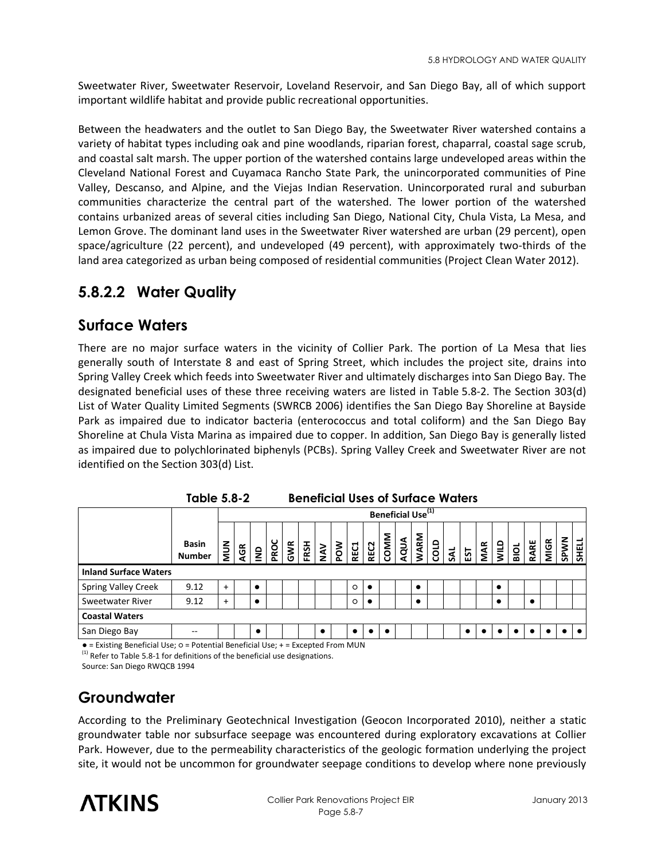Sweetwater River, Sweetwater Reservoir, Loveland Reservoir, and San Diego Bay, all of which support important wildlife habitat and provide public recreational opportunities.

Between the headwaters and the outlet to San Diego Bay, the Sweetwater River watershed contains a variety of habitat types including oak and pine woodlands, riparian forest, chaparral, coastal sage scrub, and coastal salt marsh. The upper portion of the watershed contains large undeveloped areas within the Cleveland National Forest and Cuyamaca Rancho State Park, the unincorporated communities of Pine Valley, Descanso, and Alpine, and the Viejas Indian Reservation. Unincorporated rural and suburban communities characterize the central part of the watershed. The lower portion of the watershed contains urbanized areas of several cities including San Diego, National City, Chula Vista, La Mesa, and Lemon Grove. The dominant land uses in the Sweetwater River watershed are urban (29 percent), open space/agriculture (22 percent), and undeveloped (49 percent), with approximately two-thirds of the land area categorized as urban being composed of residential communities (Project Clean Water 2012).

## **5.8.2.2 Water Quality**

#### **Surface Waters**

There are no major surface waters in the vicinity of Collier Park. The portion of La Mesa that lies generally south of Interstate 8 and east of Spring Street, which includes the project site, drains into Spring Valley Creek which feeds into Sweetwater River and ultimately discharges into San Diego Bay. The designated beneficial uses of these three receiving waters are listed in Table 5.8-2. The Section 303(d) List of Water Quality Limited Segments (SWRCB 2006) identifies the San Diego Bay Shoreline at Bayside Park as impaired due to indicator bacteria (enterococcus and total coliform) and the San Diego Bay Shoreline at Chula Vista Marina as impaired due to copper. In addition, San Diego Bay is generally listed as impaired due to polychlorinated biphenyls (PCBs). Spring Valley Creek and Sweetwater River are not identified on the Section 303(d) List.

|                              |                               | Beneficial Use <sup>(1)</sup> |     |            |      |     |  |                   |     |             |             |      |      |             |  |                    |     |            |      |                       |      |             |      |       |
|------------------------------|-------------------------------|-------------------------------|-----|------------|------|-----|--|-------------------|-----|-------------|-------------|------|------|-------------|--|--------------------|-----|------------|------|-----------------------|------|-------------|------|-------|
|                              | <b>Basin</b><br><b>Number</b> | NUN                           | AGR | $\epsilon$ | PROC | GWR |  | $\frac{FSH}{NAV}$ | POW | <b>REC1</b> | <b>REC2</b> | COMM | AQUA | <b>WARM</b> |  | $rac{1}{\sqrt{2}}$ | EST | <b>MAR</b> | aniw | $\overline{\text{B}}$ | RARE | <b>MIGR</b> | SPWN | SHELL |
| <b>Inland Surface Waters</b> |                               |                               |     |            |      |     |  |                   |     |             |             |      |      |             |  |                    |     |            |      |                       |      |             |      |       |
| <b>Spring Valley Creek</b>   | 9.12                          | $+$                           |     | $\bullet$  |      |     |  |                   |     | $\circ$     |             |      |      | $\bullet$   |  |                    |     |            | ٠    |                       |      |             |      |       |
| Sweetwater River             | 9.12                          | $+$                           |     |            |      |     |  |                   |     | $\circ$     |             |      |      | $\bullet$   |  |                    |     |            |      |                       |      |             |      |       |
| <b>Coastal Waters</b>        |                               |                               |     |            |      |     |  |                   |     |             |             |      |      |             |  |                    |     |            |      |                       |      |             |      |       |
| San Diego Bay                | --                            |                               |     | ٠          |      |     |  | ٠                 |     |             |             |      |      |             |  |                    |     |            |      |                       |      |             |      |       |

**Table 5.8-2 Beneficial Uses of Surface Waters**

● = Existing Beneficial Use; ○ = Potential Beneficial Use; + = Excepted From MUN  $(1)$  Refer to Table 5.8-1 for definitions of the beneficial use designations.

Source: San Diego RWQCB 1994

## **Groundwater**

According to the Preliminary Geotechnical Investigation (Geocon Incorporated 2010), neither a static groundwater table nor subsurface seepage was encountered during exploratory excavations at Collier Park. However, due to the permeability characteristics of the geologic formation underlying the project site, it would not be uncommon for groundwater seepage conditions to develop where none previously

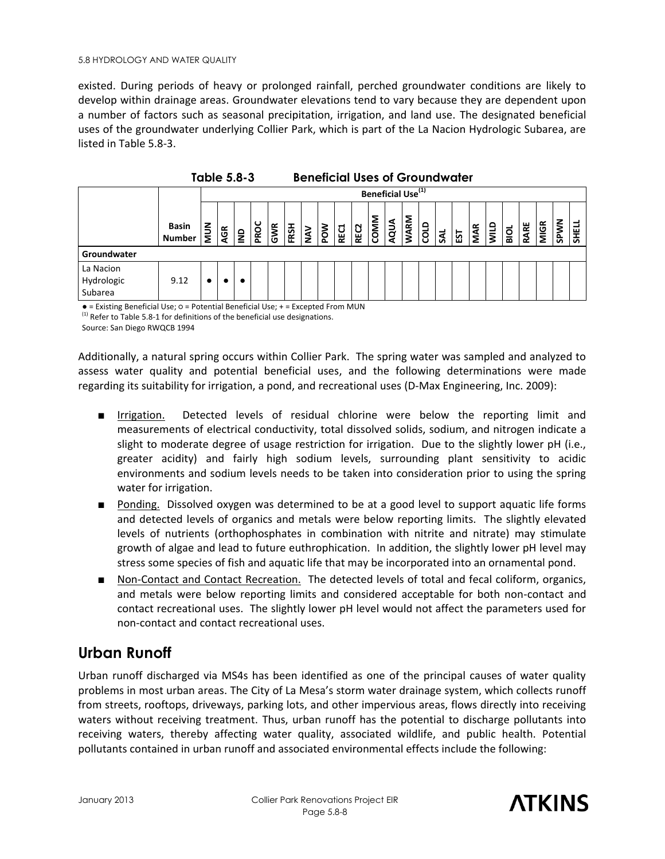existed. During periods of heavy or prolonged rainfall, perched groundwater conditions are likely to develop within drainage areas. Groundwater elevations tend to vary because they are dependent upon a number of factors such as seasonal precipitation, irrigation, and land use. The designated beneficial uses of the groundwater underlying Collier Park, which is part of the La Nacion Hydrologic Subarea, are listed in Table 5.8-3.

|                                    | <b>Table 5.8-3</b><br><b>Beneficial Uses of Groundwater</b> |     |                               |            |      |     |      |            |     |             |             |      |      |             |      |     |       |     |      |               |      |             |             |       |
|------------------------------------|-------------------------------------------------------------|-----|-------------------------------|------------|------|-----|------|------------|-----|-------------|-------------|------|------|-------------|------|-----|-------|-----|------|---------------|------|-------------|-------------|-------|
|                                    |                                                             |     | Beneficial Use <sup>(1)</sup> |            |      |     |      |            |     |             |             |      |      |             |      |     |       |     |      |               |      |             |             |       |
|                                    | Basin<br><b>Number</b>                                      | NUN | ĄGR                           | $\epsilon$ | PROC | GWR | FRSH | <b>NAV</b> | MOd | <b>REC1</b> | <b>REC2</b> | COMM | AQUA | <b>WARM</b> | corp | SAL | ន្ទ្រ | MAR | allM | $\frac{1}{2}$ | RARE | <b>MIGR</b> | <b>SPWN</b> | SHELL |
| Groundwater                        |                                                             |     |                               |            |      |     |      |            |     |             |             |      |      |             |      |     |       |     |      |               |      |             |             |       |
| La Nacion<br>Hydrologic<br>Subarea | 9.12                                                        |     |                               |            |      |     |      |            |     |             |             |      |      |             |      |     |       |     |      |               |      |             |             |       |

● = Existing Beneficial Use; ○ = Potential Beneficial Use; + = Excepted From MUN  $<sup>(1)</sup>$  Refer to Table 5.8-1 for definitions of the beneficial use designations.</sup> Source: San Diego RWQCB 1994

Additionally, a natural spring occurs within Collier Park. The spring water was sampled and analyzed to assess water quality and potential beneficial uses, and the following determinations were made regarding its suitability for irrigation, a pond, and recreational uses (D-Max Engineering, Inc. 2009):

- Irrigation. Detected levels of residual chlorine were below the reporting limit and measurements of electrical conductivity, total dissolved solids, sodium, and nitrogen indicate a slight to moderate degree of usage restriction for irrigation. Due to the slightly lower pH (i.e., greater acidity) and fairly high sodium levels, surrounding plant sensitivity to acidic environments and sodium levels needs to be taken into consideration prior to using the spring water for irrigation.
- Ponding. Dissolved oxygen was determined to be at a good level to support aquatic life forms and detected levels of organics and metals were below reporting limits. The slightly elevated levels of nutrients (orthophosphates in combination with nitrite and nitrate) may stimulate growth of algae and lead to future euthrophication. In addition, the slightly lower pH level may stress some species of fish and aquatic life that may be incorporated into an ornamental pond.
- Non-Contact and Contact Recreation. The detected levels of total and fecal coliform, organics, and metals were below reporting limits and considered acceptable for both non-contact and contact recreational uses. The slightly lower pH level would not affect the parameters used for non-contact and contact recreational uses.

#### **Urban Runoff**

Urban runoff discharged via MS4s has been identified as one of the principal causes of water quality problems in most urban areas. The City of La Mesa's storm water drainage system, which collects runoff from streets, rooftops, driveways, parking lots, and other impervious areas, flows directly into receiving waters without receiving treatment. Thus, urban runoff has the potential to discharge pollutants into receiving waters, thereby affecting water quality, associated wildlife, and public health. Potential pollutants contained in urban runoff and associated environmental effects include the following:

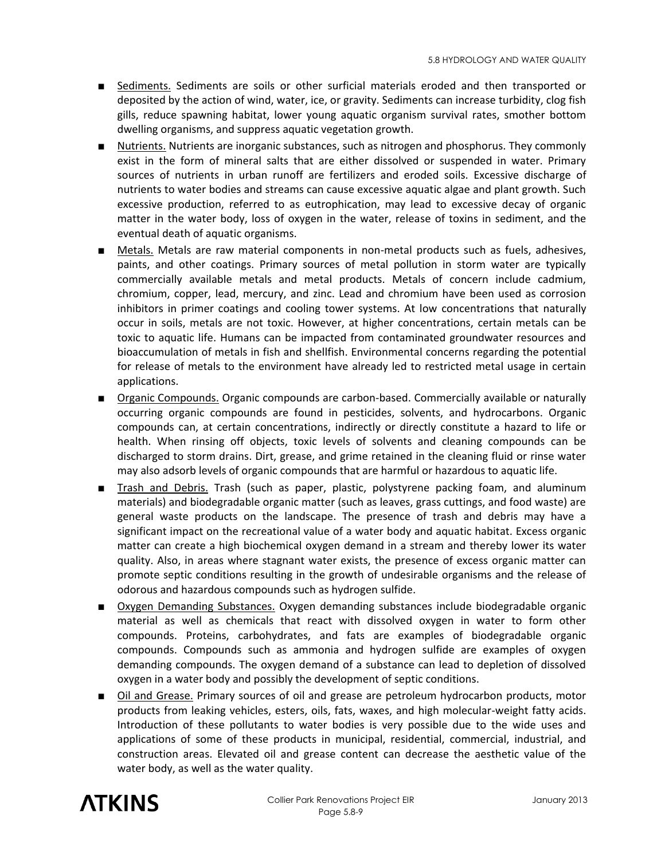- Sediments. Sediments are soils or other surficial materials eroded and then transported or deposited by the action of wind, water, ice, or gravity. Sediments can increase turbidity, clog fish gills, reduce spawning habitat, lower young aquatic organism survival rates, smother bottom dwelling organisms, and suppress aquatic vegetation growth.
- Nutrients. Nutrients are inorganic substances, such as nitrogen and phosphorus. They commonly exist in the form of mineral salts that are either dissolved or suspended in water. Primary sources of nutrients in urban runoff are fertilizers and eroded soils. Excessive discharge of nutrients to water bodies and streams can cause excessive aquatic algae and plant growth. Such excessive production, referred to as eutrophication, may lead to excessive decay of organic matter in the water body, loss of oxygen in the water, release of toxins in sediment, and the eventual death of aquatic organisms.
- Metals. Metals are raw material components in non-metal products such as fuels, adhesives, paints, and other coatings. Primary sources of metal pollution in storm water are typically commercially available metals and metal products. Metals of concern include cadmium, chromium, copper, lead, mercury, and zinc. Lead and chromium have been used as corrosion inhibitors in primer coatings and cooling tower systems. At low concentrations that naturally occur in soils, metals are not toxic. However, at higher concentrations, certain metals can be toxic to aquatic life. Humans can be impacted from contaminated groundwater resources and bioaccumulation of metals in fish and shellfish. Environmental concerns regarding the potential for release of metals to the environment have already led to restricted metal usage in certain applications.
- Organic Compounds. Organic compounds are carbon-based. Commercially available or naturally occurring organic compounds are found in pesticides, solvents, and hydrocarbons. Organic compounds can, at certain concentrations, indirectly or directly constitute a hazard to life or health. When rinsing off objects, toxic levels of solvents and cleaning compounds can be discharged to storm drains. Dirt, grease, and grime retained in the cleaning fluid or rinse water may also adsorb levels of organic compounds that are harmful or hazardous to aquatic life.
- Trash and Debris. Trash (such as paper, plastic, polystyrene packing foam, and aluminum materials) and biodegradable organic matter (such as leaves, grass cuttings, and food waste) are general waste products on the landscape. The presence of trash and debris may have a significant impact on the recreational value of a water body and aquatic habitat. Excess organic matter can create a high biochemical oxygen demand in a stream and thereby lower its water quality. Also, in areas where stagnant water exists, the presence of excess organic matter can promote septic conditions resulting in the growth of undesirable organisms and the release of odorous and hazardous compounds such as hydrogen sulfide.
- Oxygen Demanding Substances. Oxygen demanding substances include biodegradable organic material as well as chemicals that react with dissolved oxygen in water to form other compounds. Proteins, carbohydrates, and fats are examples of biodegradable organic compounds. Compounds such as ammonia and hydrogen sulfide are examples of oxygen demanding compounds. The oxygen demand of a substance can lead to depletion of dissolved oxygen in a water body and possibly the development of septic conditions.
- Oil and Grease. Primary sources of oil and grease are petroleum hydrocarbon products, motor products from leaking vehicles, esters, oils, fats, waxes, and high molecular-weight fatty acids. Introduction of these pollutants to water bodies is very possible due to the wide uses and applications of some of these products in municipal, residential, commercial, industrial, and construction areas. Elevated oil and grease content can decrease the aesthetic value of the water body, as well as the water quality.

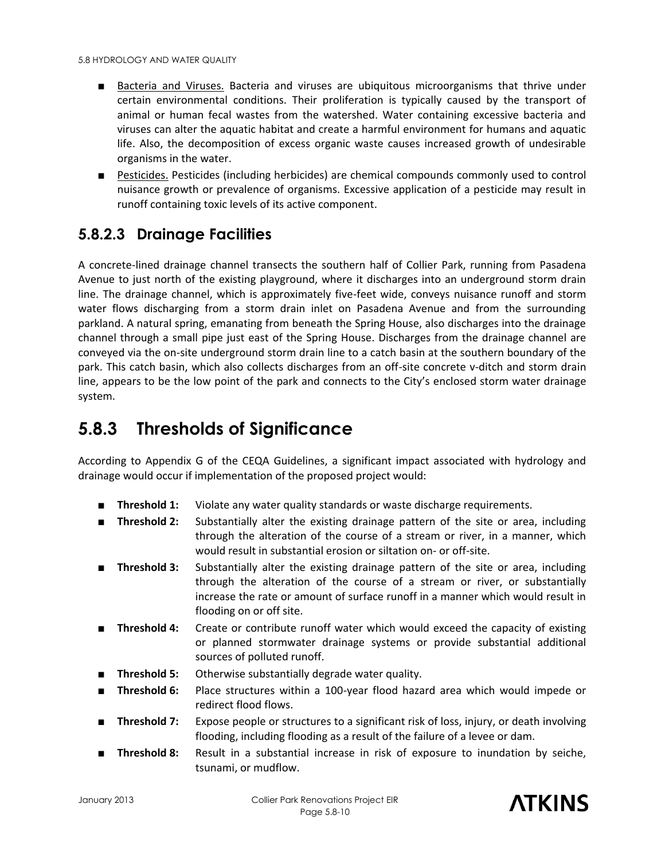- Bacteria and Viruses. Bacteria and viruses are ubiquitous microorganisms that thrive under certain environmental conditions. Their proliferation is typically caused by the transport of animal or human fecal wastes from the watershed. Water containing excessive bacteria and viruses can alter the aquatic habitat and create a harmful environment for humans and aquatic life. Also, the decomposition of excess organic waste causes increased growth of undesirable organisms in the water.
- Pesticides. Pesticides (including herbicides) are chemical compounds commonly used to control nuisance growth or prevalence of organisms. Excessive application of a pesticide may result in runoff containing toxic levels of its active component.

## **5.8.2.3 Drainage Facilities**

A concrete-lined drainage channel transects the southern half of Collier Park, running from Pasadena Avenue to just north of the existing playground, where it discharges into an underground storm drain line. The drainage channel, which is approximately five-feet wide, conveys nuisance runoff and storm water flows discharging from a storm drain inlet on Pasadena Avenue and from the surrounding parkland. A natural spring, emanating from beneath the Spring House, also discharges into the drainage channel through a small pipe just east of the Spring House. Discharges from the drainage channel are conveyed via the on-site underground storm drain line to a catch basin at the southern boundary of the park. This catch basin, which also collects discharges from an off-site concrete v-ditch and storm drain line, appears to be the low point of the park and connects to the City's enclosed storm water drainage system.

# **5.8.3 Thresholds of Significance**

According to Appendix G of the CEQA Guidelines, a significant impact associated with hydrology and drainage would occur if implementation of the proposed project would:

- **Threshold 1:** Violate any water quality standards or waste discharge requirements.
- **Threshold 2:** Substantially alter the existing drainage pattern of the site or area, including through the alteration of the course of a stream or river, in a manner, which would result in substantial erosion or siltation on- or off-site.
- **Threshold 3:** Substantially alter the existing drainage pattern of the site or area, including through the alteration of the course of a stream or river, or substantially increase the rate or amount of surface runoff in a manner which would result in flooding on or off site.
- **Threshold 4:** Create or contribute runoff water which would exceed the capacity of existing or planned stormwater drainage systems or provide substantial additional sources of polluted runoff.
- **Threshold 5:** Otherwise substantially degrade water quality.
- **Threshold 6:** Place structures within a 100-year flood hazard area which would impede or redirect flood flows.
- **Threshold 7:** Expose people or structures to a significant risk of loss, injury, or death involving flooding, including flooding as a result of the failure of a levee or dam.
- **Threshold 8:** Result in a substantial increase in risk of exposure to inundation by seiche, tsunami, or mudflow.

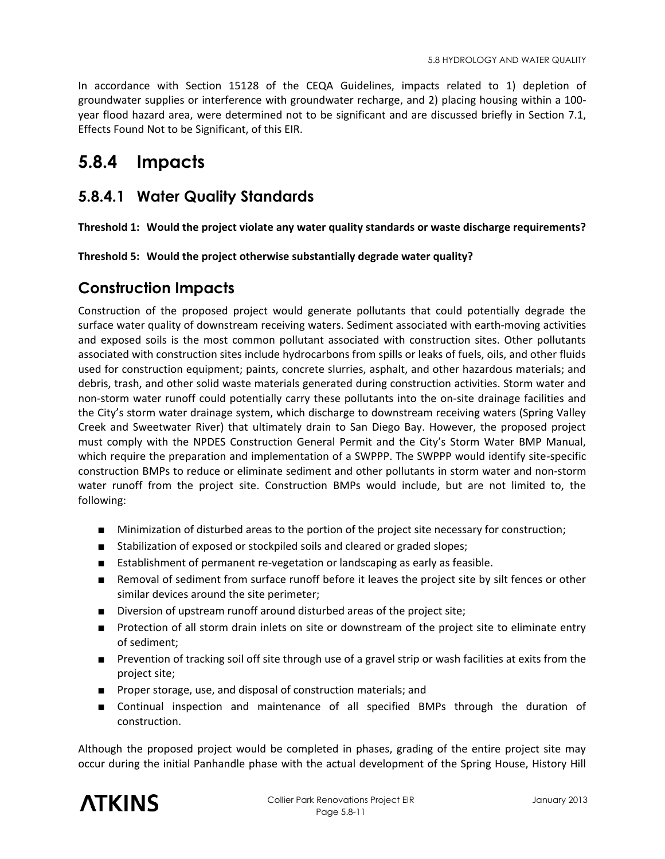In accordance with Section 15128 of the CEQA Guidelines, impacts related to 1) depletion of groundwater supplies or interference with groundwater recharge, and 2) placing housing within a 100 year flood hazard area, were determined not to be significant and are discussed briefly in Section 7.1, Effects Found Not to be Significant, of this EIR.

# **5.8.4 Impacts**

#### **5.8.4.1 Water Quality Standards**

**Threshold 1: Would the project violate any water quality standards or waste discharge requirements?** 

**Threshold 5: Would the project otherwise substantially degrade water quality?** 

#### **Construction Impacts**

Construction of the proposed project would generate pollutants that could potentially degrade the surface water quality of downstream receiving waters. Sediment associated with earth-moving activities and exposed soils is the most common pollutant associated with construction sites. Other pollutants associated with construction sites include hydrocarbons from spills or leaks of fuels, oils, and other fluids used for construction equipment; paints, concrete slurries, asphalt, and other hazardous materials; and debris, trash, and other solid waste materials generated during construction activities. Storm water and non-storm water runoff could potentially carry these pollutants into the on-site drainage facilities and the City's storm water drainage system, which discharge to downstream receiving waters (Spring Valley Creek and Sweetwater River) that ultimately drain to San Diego Bay. However, the proposed project must comply with the NPDES Construction General Permit and the City's Storm Water BMP Manual, which require the preparation and implementation of a SWPPP. The SWPPP would identify site-specific construction BMPs to reduce or eliminate sediment and other pollutants in storm water and non-storm water runoff from the project site. Construction BMPs would include, but are not limited to, the following:

- Minimization of disturbed areas to the portion of the project site necessary for construction;
- Stabilization of exposed or stockpiled soils and cleared or graded slopes;
- Establishment of permanent re-vegetation or landscaping as early as feasible.
- Removal of sediment from surface runoff before it leaves the project site by silt fences or other similar devices around the site perimeter;
- Diversion of upstream runoff around disturbed areas of the project site;
- Protection of all storm drain inlets on site or downstream of the project site to eliminate entry of sediment;
- Prevention of tracking soil off site through use of a gravel strip or wash facilities at exits from the project site;
- Proper storage, use, and disposal of construction materials; and
- Continual inspection and maintenance of all specified BMPs through the duration of construction.

Although the proposed project would be completed in phases, grading of the entire project site may occur during the initial Panhandle phase with the actual development of the Spring House, History Hill

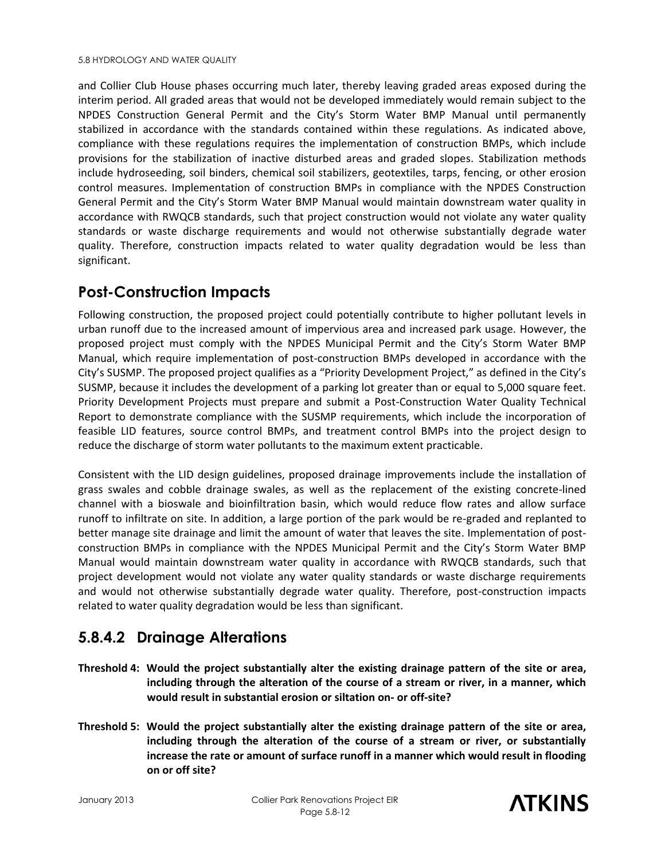and Collier Club House phases occurring much later, thereby leaving graded areas exposed during the interim period. All graded areas that would not be developed immediately would remain subject to the NPDES Construction General Permit and the City's Storm Water BMP Manual until permanently stabilized in accordance with the standards contained within these regulations. As indicated above, compliance with these regulations requires the implementation of construction BMPs, which include provisions for the stabilization of inactive disturbed areas and graded slopes. Stabilization methods include hydroseeding, soil binders, chemical soil stabilizers, geotextiles, tarps, fencing, or other erosion control measures. Implementation of construction BMPs in compliance with the NPDES Construction General Permit and the City's Storm Water BMP Manual would maintain downstream water quality in accordance with RWQCB standards, such that project construction would not violate any water quality standards or waste discharge requirements and would not otherwise substantially degrade water quality. Therefore, construction impacts related to water quality degradation would be less than significant.

#### **Post-Construction Impacts**

Following construction, the proposed project could potentially contribute to higher pollutant levels in urban runoff due to the increased amount of impervious area and increased park usage. However, the proposed project must comply with the NPDES Municipal Permit and the City's Storm Water BMP Manual, which require implementation of post-construction BMPs developed in accordance with the City's SUSMP. The proposed project qualifies as a "Priority Development Project," as defined in the City's SUSMP, because it includes the development of a parking lot greater than or equal to 5,000 square feet. Priority Development Projects must prepare and submit a Post-Construction Water Quality Technical Report to demonstrate compliance with the SUSMP requirements, which include the incorporation of feasible LID features, source control BMPs, and treatment control BMPs into the project design to reduce the discharge of storm water pollutants to the maximum extent practicable.

Consistent with the LID design guidelines, proposed drainage improvements include the installation of grass swales and cobble drainage swales, as well as the replacement of the existing concrete-lined channel with a bioswale and bioinfiltration basin, which would reduce flow rates and allow surface runoff to infiltrate on site. In addition, a large portion of the park would be re-graded and replanted to better manage site drainage and limit the amount of water that leaves the site. Implementation of postconstruction BMPs in compliance with the NPDES Municipal Permit and the City's Storm Water BMP Manual would maintain downstream water quality in accordance with RWQCB standards, such that project development would not violate any water quality standards or waste discharge requirements and would not otherwise substantially degrade water quality. Therefore, post-construction impacts related to water quality degradation would be less than significant.

## **5.8.4.2 Drainage Alterations**

- **Threshold 4: Would the project substantially alter the existing drainage pattern of the site or area, including through the alteration of the course of a stream or river, in a manner, which would result in substantial erosion or siltation on- or off-site?**
- **Threshold 5: Would the project substantially alter the existing drainage pattern of the site or area, including through the alteration of the course of a stream or river, or substantially increase the rate or amount of surface runoff in a manner which would result in flooding on or off site?**

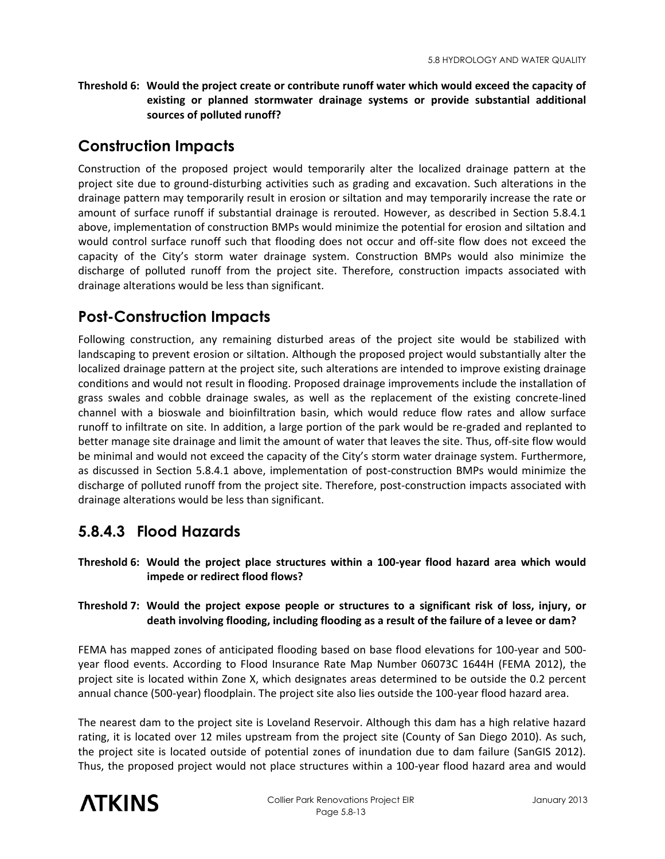**Threshold 6: Would the project create or contribute runoff water which would exceed the capacity of existing or planned stormwater drainage systems or provide substantial additional sources of polluted runoff?** 

#### **Construction Impacts**

Construction of the proposed project would temporarily alter the localized drainage pattern at the project site due to ground-disturbing activities such as grading and excavation. Such alterations in the drainage pattern may temporarily result in erosion or siltation and may temporarily increase the rate or amount of surface runoff if substantial drainage is rerouted. However, as described in Section 5.8.4.1 above, implementation of construction BMPs would minimize the potential for erosion and siltation and would control surface runoff such that flooding does not occur and off-site flow does not exceed the capacity of the City's storm water drainage system. Construction BMPs would also minimize the discharge of polluted runoff from the project site. Therefore, construction impacts associated with drainage alterations would be less than significant.

#### **Post-Construction Impacts**

Following construction, any remaining disturbed areas of the project site would be stabilized with landscaping to prevent erosion or siltation. Although the proposed project would substantially alter the localized drainage pattern at the project site, such alterations are intended to improve existing drainage conditions and would not result in flooding. Proposed drainage improvements include the installation of grass swales and cobble drainage swales, as well as the replacement of the existing concrete-lined channel with a bioswale and bioinfiltration basin, which would reduce flow rates and allow surface runoff to infiltrate on site. In addition, a large portion of the park would be re-graded and replanted to better manage site drainage and limit the amount of water that leaves the site. Thus, off-site flow would be minimal and would not exceed the capacity of the City's storm water drainage system. Furthermore, as discussed in Section 5.8.4.1 above, implementation of post-construction BMPs would minimize the discharge of polluted runoff from the project site. Therefore, post-construction impacts associated with drainage alterations would be less than significant.

## **5.8.4.3 Flood Hazards**

**Threshold 6: Would the project place structures within a 100-year flood hazard area which would impede or redirect flood flows?** 

#### **Threshold 7: Would the project expose people or structures to a significant risk of loss, injury, or death involving flooding, including flooding as a result of the failure of a levee or dam?**

FEMA has mapped zones of anticipated flooding based on base flood elevations for 100-year and 500 year flood events. According to Flood Insurance Rate Map Number 06073C 1644H (FEMA 2012), the project site is located within Zone X, which designates areas determined to be outside the 0.2 percent annual chance (500-year) floodplain. The project site also lies outside the 100-year flood hazard area.

The nearest dam to the project site is Loveland Reservoir. Although this dam has a high relative hazard rating, it is located over 12 miles upstream from the project site (County of San Diego 2010). As such, the project site is located outside of potential zones of inundation due to dam failure (SanGIS 2012). Thus, the proposed project would not place structures within a 100-year flood hazard area and would

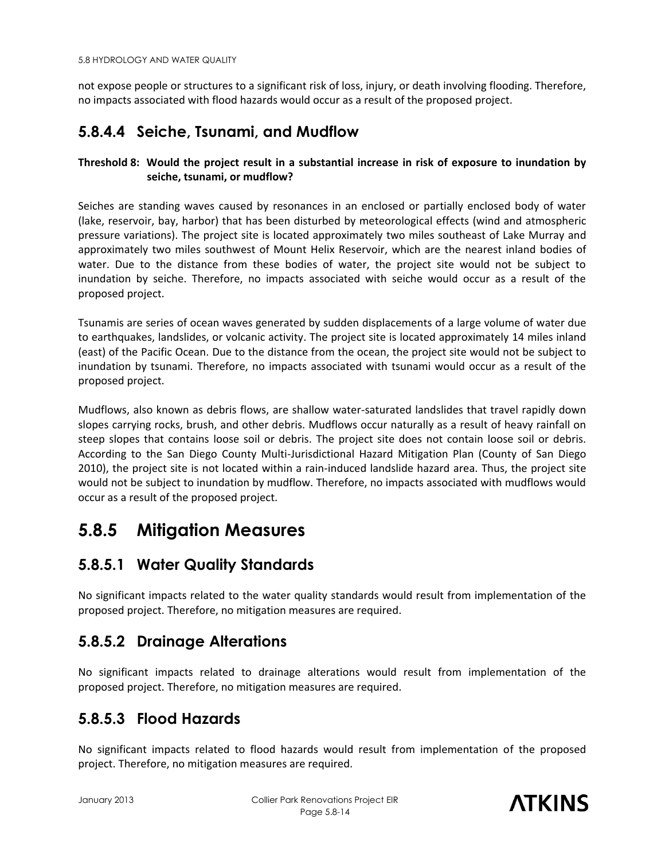not expose people or structures to a significant risk of loss, injury, or death involving flooding. Therefore, no impacts associated with flood hazards would occur as a result of the proposed project.

## **5.8.4.4 Seiche, Tsunami, and Mudflow**

#### **Threshold 8: Would the project result in a substantial increase in risk of exposure to inundation by seiche, tsunami, or mudflow?**

Seiches are standing waves caused by resonances in an enclosed or partially enclosed body of water (lake, reservoir, bay, harbor) that has been disturbed by meteorological effects (wind and atmospheric pressure variations). The project site is located approximately two miles southeast of Lake Murray and approximately two miles southwest of Mount Helix Reservoir, which are the nearest inland bodies of water. Due to the distance from these bodies of water, the project site would not be subject to inundation by seiche. Therefore, no impacts associated with seiche would occur as a result of the proposed project.

Tsunamis are series of ocean waves generated by sudden displacements of a large volume of water due to earthquakes, landslides, or volcanic activity. The project site is located approximately 14 miles inland (east) of the Pacific Ocean. Due to the distance from the ocean, the project site would not be subject to inundation by tsunami. Therefore, no impacts associated with tsunami would occur as a result of the proposed project.

Mudflows, also known as debris flows, are shallow water-saturated landslides that travel rapidly down slopes carrying rocks, brush, and other debris. Mudflows occur naturally as a result of heavy rainfall on steep slopes that contains loose soil or debris. The project site does not contain loose soil or debris. According to the San Diego County Multi-Jurisdictional Hazard Mitigation Plan (County of San Diego 2010), the project site is not located within a rain-induced landslide hazard area. Thus, the project site would not be subject to inundation by mudflow. Therefore, no impacts associated with mudflows would occur as a result of the proposed project.

# **5.8.5 Mitigation Measures**

## **5.8.5.1 Water Quality Standards**

No significant impacts related to the water quality standards would result from implementation of the proposed project. Therefore, no mitigation measures are required.

## **5.8.5.2 Drainage Alterations**

No significant impacts related to drainage alterations would result from implementation of the proposed project. Therefore, no mitigation measures are required.

#### **5.8.5.3 Flood Hazards**

No significant impacts related to flood hazards would result from implementation of the proposed project. Therefore, no mitigation measures are required.

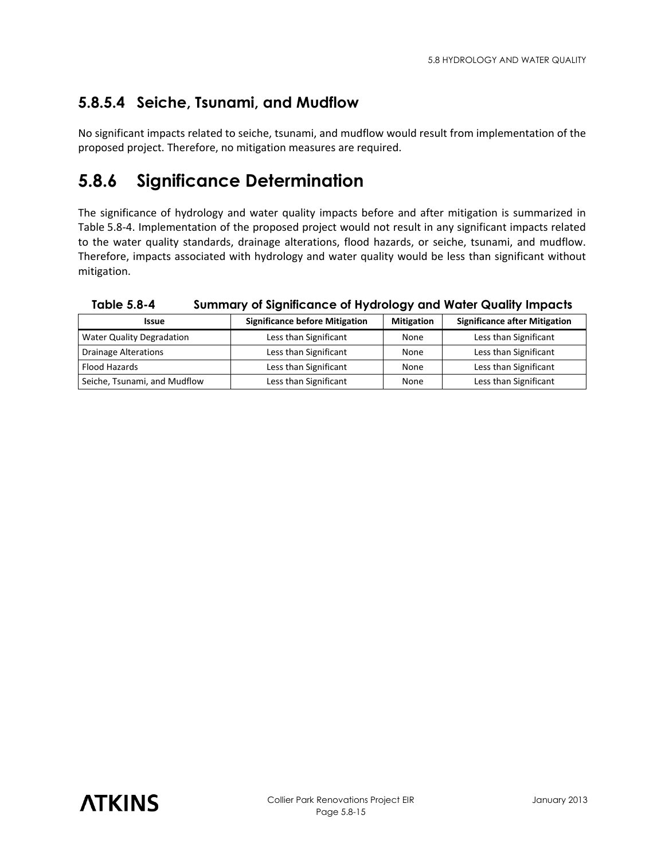# **5.8.5.4 Seiche, Tsunami, and Mudflow**

No significant impacts related to seiche, tsunami, and mudflow would result from implementation of the proposed project. Therefore, no mitigation measures are required.

# **5.8.6 Significance Determination**

The significance of hydrology and water quality impacts before and after mitigation is summarized in Table 5.8-4. Implementation of the proposed project would not result in any significant impacts related to the water quality standards, drainage alterations, flood hazards, or seiche, tsunami, and mudflow. Therefore, impacts associated with hydrology and water quality would be less than significant without mitigation.

| <b>Issue</b>                     | <b>Significance before Mitigation</b> | <b>Mitigation</b> | <b>Significance after Mitigation</b> |
|----------------------------------|---------------------------------------|-------------------|--------------------------------------|
| <b>Water Quality Degradation</b> | Less than Significant                 | None              | Less than Significant                |
| <b>Drainage Alterations</b>      | Less than Significant                 | None              | Less than Significant                |
| Flood Hazards                    | Less than Significant                 | None              | Less than Significant                |
| Seiche, Tsunami, and Mudflow     | Less than Significant                 | None              | Less than Significant                |

**Table 5.8-4 Summary of Significance of Hydrology and Water Quality Impacts**